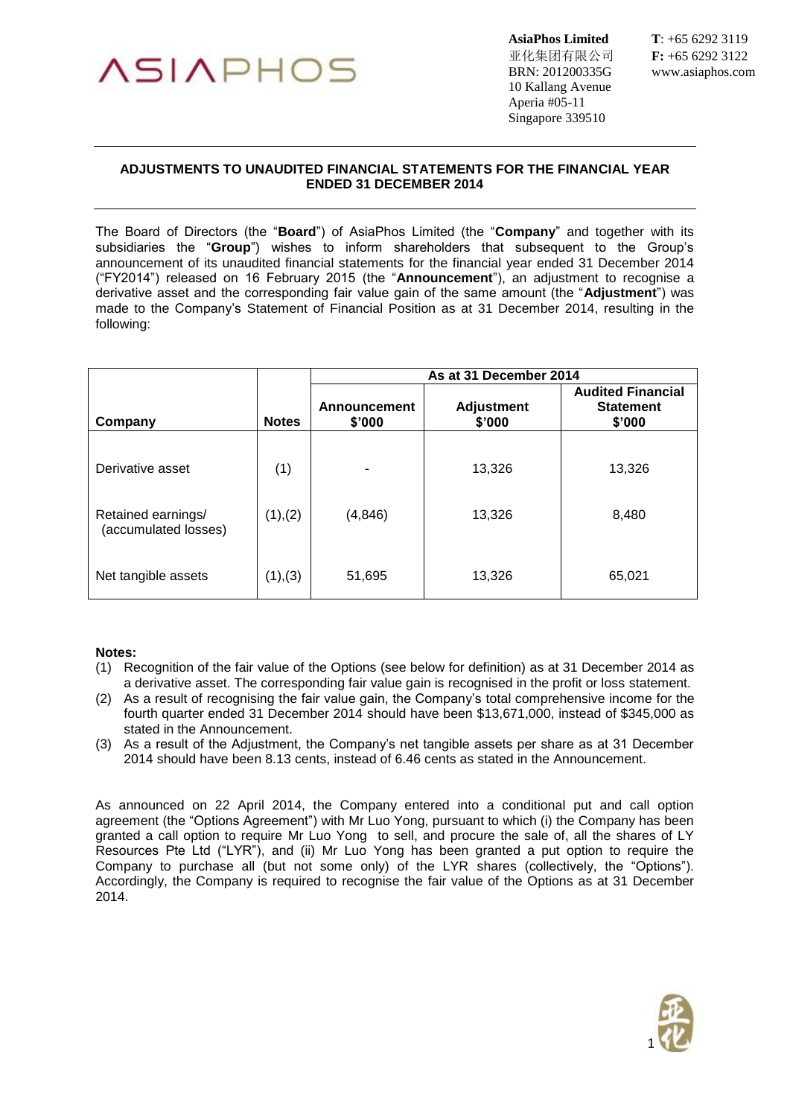

亚化集团有限公司 **F:** +65 6292 3122 BRN: 201200335G www.asiaphos.com 10 Kallang Avenue Aperia #05-11 Singapore 339510

**AsiaPhos Limited T**: +65 6292 3119

## **ADJUSTMENTS TO UNAUDITED FINANCIAL STATEMENTS FOR THE FINANCIAL YEAR ENDED 31 DECEMBER 2014**

The Board of Directors (the "**Board**") of AsiaPhos Limited (the "**Company**" and together with its subsidiaries the "**Group**") wishes to inform shareholders that subsequent to the Group's announcement of its unaudited financial statements for the financial year ended 31 December 2014 ("FY2014") released on 16 February 2015 (the "**Announcement**"), an adjustment to recognise a derivative asset and the corresponding fair value gain of the same amount (the "**Adjustment**") was made to the Company's Statement of Financial Position as at 31 December 2014, resulting in the following:

|                                            |              | As at 31 December 2014 |                             |                                                        |
|--------------------------------------------|--------------|------------------------|-----------------------------|--------------------------------------------------------|
| Company                                    | <b>Notes</b> | Announcement<br>\$'000 | <b>Adjustment</b><br>\$'000 | <b>Audited Financial</b><br><b>Statement</b><br>\$'000 |
| Derivative asset                           | (1)          |                        | 13,326                      | 13,326                                                 |
| Retained earnings/<br>(accumulated losses) | (1), (2)     | (4, 846)               | 13,326                      | 8,480                                                  |
| Net tangible assets                        | (1), (3)     | 51,695                 | 13,326                      | 65,021                                                 |

## **Notes:**

- (1) Recognition of the fair value of the Options (see below for definition) as at 31 December 2014 as a derivative asset. The corresponding fair value gain is recognised in the profit or loss statement.
- (2) As a result of recognising the fair value gain, the Company's total comprehensive income for the fourth quarter ended 31 December 2014 should have been \$13,671,000, instead of \$345,000 as stated in the Announcement.
- (3) As a result of the Adjustment, the Company's net tangible assets per share as at 31 December 2014 should have been 8.13 cents, instead of 6.46 cents as stated in the Announcement.

As announced on 22 April 2014, the Company entered into a conditional put and call option agreement (the "Options Agreement") with Mr Luo Yong, pursuant to which (i) the Company has been granted a call option to require Mr Luo Yong to sell, and procure the sale of, all the shares of LY Resources Pte Ltd ("LYR"), and (ii) Mr Luo Yong has been granted a put option to require the Company to purchase all (but not some only) of the LYR shares (collectively, the "Options"). Accordingly, the Company is required to recognise the fair value of the Options as at 31 December 2014.